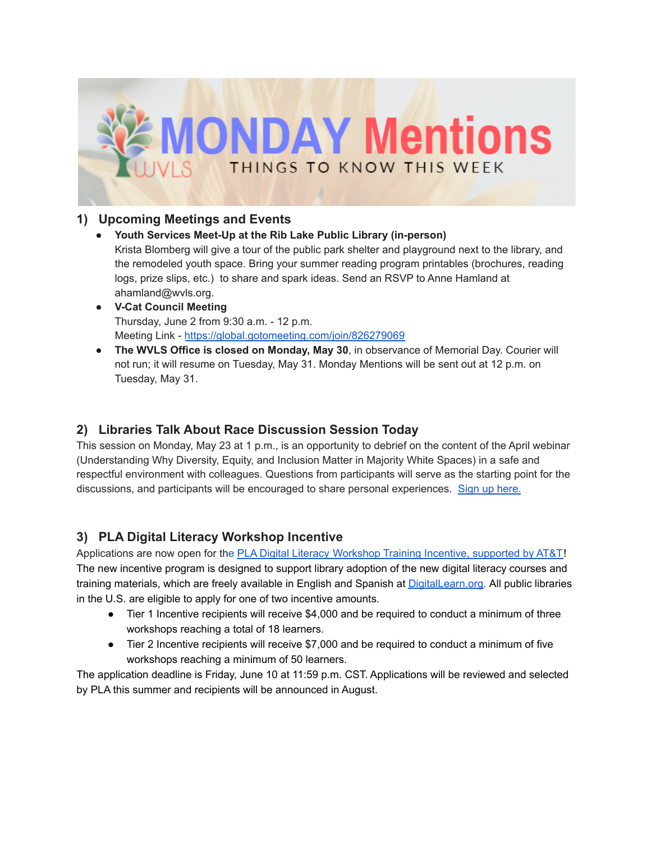

#### **1) Upcoming Meetings and Events**

● **Youth Services Meet-Up at the Rib Lake Public Library (in-person)**

Krista Blomberg will give a tour of the public park shelter and playground next to the library, and the remodeled youth space. Bring your summer reading program printables (brochures, reading logs, prize slips, etc.) to share and spark ideas. Send an RSVP to Anne Hamland at ahamland@wvls.org.

- **● V-Cat Council Meeting** Thursday, June 2 from 9:30 a.m. - 12 p.m. Meeting Link - <https://global.gotomeeting.com/join/826279069>
- **The WVLS Office is closed on Monday, May 30**, in observance of Memorial Day. Courier will not run; it will resume on Tuesday, May 31. Monday Mentions will be sent out at 12 p.m. on Tuesday, May 31.

### **2) Libraries Talk About Race Discussion Session Today**

This session on Monday, May 23 at 1 p.m., is an opportunity to debrief on the content of the April webinar (Understanding Why Diversity, Equity, and Inclusion Matter in Majority White Spaces) in a safe and respectful environment with colleagues. Questions from participants will serve as the starting point for the discussions, and participants will be encouraged to share personal experiences. Sign up [here.](https://us02web.zoom.us/meeting/register/tZ0sceqsrzkoE9Wb3BxIwytBzxenwWlKARJ2)

### **3) PLA Digital Literacy Workshop Incentive**

Applications are now open for the PLA Digital Literacy [Workshop](http://ala.informz.net/z/cjUucD9taT0xMDU5MzI1NiZwPTEmdT0xMDA3NDQyMzk4JmxpPTk1MDAwNzc3/index.html) Training Incentive, supported by AT&T! The new incentive program is designed to support library adoption of the new digital literacy courses and training materials, which are freely available in English and Spanish at [DigitalLearn.org.](http://ala.informz.net/z/cjUucD9taT0xMDU5MzI1NiZwPTEmdT0xMDA3NDQyMzk4JmxpPTk1MDAwNzc5/index.html) All public libraries in the U.S. are eligible to apply for one of two incentive amounts.

- Tier 1 Incentive recipients will receive \$4,000 and be required to conduct a minimum of three workshops reaching a total of 18 learners.
- Tier 2 Incentive recipients will receive \$7,000 and be required to conduct a minimum of five workshops reaching a minimum of 50 learners.

The application deadline is Friday, June 10 at 11:59 p.m. CST. Applications will be reviewed and selected by PLA this summer and recipients will be announced in August.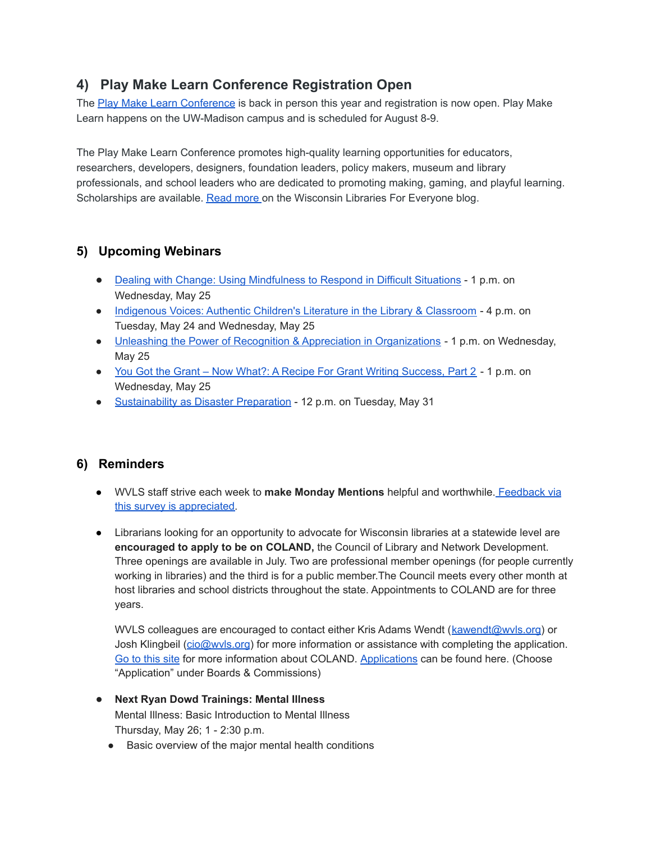# **4) Play Make Learn Conference Registration Open**

The Play Make Learn [Conference](https://web.cvent.com/event/f0d9395e-fb6a-427c-9fb1-bf2b72d48d5d/summary) is back in person this year and registration is now open. Play Make Learn happens on the UW-Madison campus and is scheduled for August 8-9.

The Play Make Learn Conference promotes high-quality learning opportunities for educators, researchers, developers, designers, foundation leaders, policy makers, museum and library professionals, and school leaders who are dedicated to promoting making, gaming, and playful learning. Scholarships are available. [Read](https://dpi.wi.gov/wilibrariesforeveryone/play-make-learn-registration-open) more on the Wisconsin Libraries For Everyone blog.

# **5) Upcoming Webinars**

- Dealing with Change: Using [Mindfulness](https://pciwebinars.com/event/dealing-with-change-using-mindfulness-to-respond-in-difficult-situations/) to Respond in Difficult Situations 1 p.m. on Wednesday, May 25
- [Indigenous](https://sdcoe.k12oms.org/900-215459) Voices: Authentic Children's Literature in the Library & Classroom 4 p.m. on Tuesday, May 24 and Wednesday, May 25
- Unleashing the Power of Recognition & Appreciation in [Organizations](https://hrdqu.com/the-gratitude-effect-webinar/) 1 p.m. on Wednesday, May 25
- You Got the Grant Now What?: A Recipe For Grant Writing [Success,](https://us02web.zoom.us/webinar/register/WN_9Xs0Hg9uT5OdQvIM9_dlNw) Part 2 1 p.m. on Wednesday, May 25
- [Sustainability](https://us06web.zoom.us/webinar/register/WN_KDbCkRXnRhmBLnYtqghLGw?timezone_id=America%2FChicago) as Disaster Preparation 12 p.m. on Tuesday, May 31

### **6) Reminders**

- WVLS staff strive each week to **make Monday Mentions** helpful and worthwhile. [Feedback](https://forms.gle/xHyNKCsK2r5C8vxh8) via this survey is [appreciated.](https://forms.gle/xHyNKCsK2r5C8vxh8)
- Librarians looking for an opportunity to advocate for Wisconsin libraries at a statewide level are **encouraged to apply to be on COLAND,** the Council of Library and Network Development. Three openings are available in July. Two are professional member openings (for people currently working in libraries) and the third is for a public member.The Council meets every other month at host libraries and school districts throughout the state. Appointments to COLAND are for three years.

WVLS colleagues are encouraged to contact either Kris Adams Wendt ([kawendt@wvls.org](mailto:kawendt@wvls.org)) or Josh Klingbeil (cio@wyls.org) for more information or assistance with completing the application. Go to [this](https://dpi.wi.gov/coland) site for more information about COLAND. [Applications](https://evers.wi.gov/Pages/Application_Process.aspx) can be found here. (Choose "Application" under Boards & Commissions)

- **Next Ryan Dowd Trainings: Mental Illness** Mental Illness: Basic Introduction to Mental Illness Thursday, May 26; 1 - 2:30 p.m.
	- Basic overview of the major mental health conditions